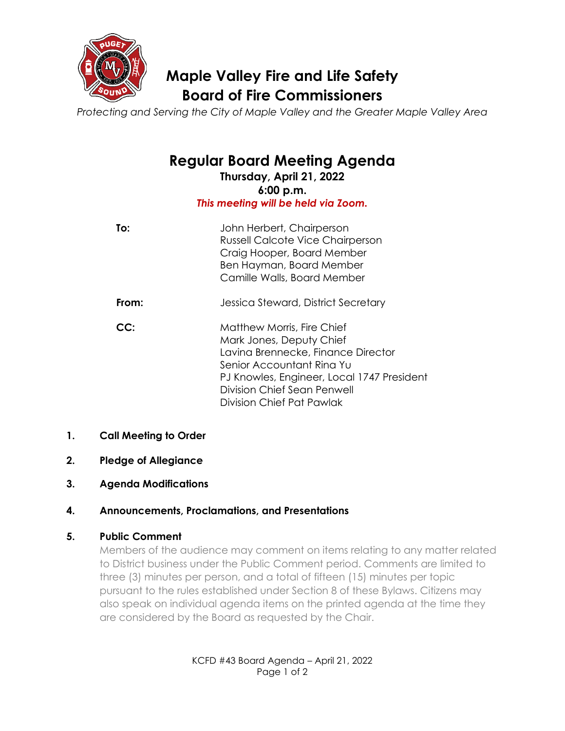

# **Maple Valley Fire and Life Safety Board of Fire Commissioners**

*Protecting and Serving the City of Maple Valley and the Greater Maple Valley Area*

# **Regular Board Meeting Agenda**

**Thursday, April 21, 2022 6:00 p.m.** *This meeting will be held via Zoom.*

| To:   | John Herbert, Chairperson<br>Russell Calcote Vice Chairperson<br>Craig Hooper, Board Member<br>Ben Hayman, Board Member<br>Camille Walls, Board Member                                                                              |
|-------|-------------------------------------------------------------------------------------------------------------------------------------------------------------------------------------------------------------------------------------|
| From: | Jessica Steward, District Secretary                                                                                                                                                                                                 |
| CC:   | Matthew Morris, Fire Chief<br>Mark Jones, Deputy Chief<br>Lavina Brennecke, Finance Director<br>Senior Accountant Rina Yu<br>PJ Knowles, Engineer, Local 1747 President<br>Division Chief Sean Penwell<br>Division Chief Pat Pawlak |

- **1. Call Meeting to Order**
- **2. Pledge of Allegiance**
- **3. Agenda Modifications**

# **4. Announcements, Proclamations, and Presentations**

# **5. Public Comment**

Members of the audience may comment on items relating to any matter related to District business under the Public Comment period. Comments are limited to three (3) minutes per person, and a total of fifteen (15) minutes per topic pursuant to the rules established under Section 8 of these Bylaws. Citizens may also speak on individual agenda items on the printed agenda at the time they are considered by the Board as requested by the Chair.